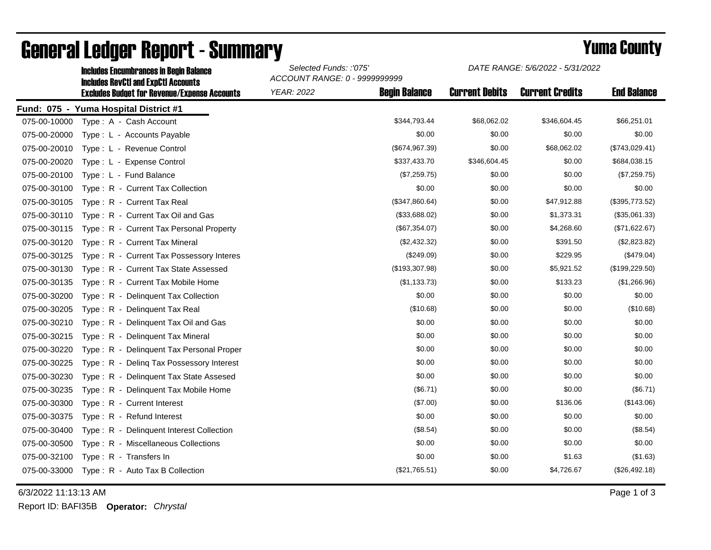|              | <b>Includes Encumbrances in Begin Balance</b><br><b>Includes RevCtI and ExpCtI Accounts</b><br><b>Excludes Budget for Revenue/Expense Accounts</b> | Selected Funds: :'075'<br>ACCOUNT RANGE: 0 - 9999999999 |                      | DATE RANGE: 5/6/2022 - 5/31/2022 |                        |                    |
|--------------|----------------------------------------------------------------------------------------------------------------------------------------------------|---------------------------------------------------------|----------------------|----------------------------------|------------------------|--------------------|
|              |                                                                                                                                                    | <b>YEAR: 2022</b>                                       | <b>Begin Balance</b> | <b>Current Debits</b>            | <b>Current Credits</b> | <b>End Balance</b> |
|              | Fund: 075 - Yuma Hospital District #1                                                                                                              |                                                         |                      |                                  |                        |                    |
| 075-00-10000 | Type: A - Cash Account                                                                                                                             |                                                         | \$344,793.44         | \$68,062.02                      | \$346,604.45           | \$66,251.01        |
| 075-00-20000 | Type: L - Accounts Payable                                                                                                                         |                                                         | \$0.00               | \$0.00                           | \$0.00                 | \$0.00             |
| 075-00-20010 | Type: L - Revenue Control                                                                                                                          |                                                         | (\$674,967.39)       | \$0.00                           | \$68,062.02            | (\$743,029.41)     |
| 075-00-20020 | Type: L - Expense Control                                                                                                                          |                                                         | \$337,433.70         | \$346,604.45                     | \$0.00                 | \$684,038.15       |
| 075-00-20100 | Type: L - Fund Balance                                                                                                                             |                                                         | (\$7,259.75)         | \$0.00                           | \$0.00                 | (\$7,259.75)       |
| 075-00-30100 | Type: R - Current Tax Collection                                                                                                                   |                                                         | \$0.00               | \$0.00                           | \$0.00                 | \$0.00             |
| 075-00-30105 | Type: R - Current Tax Real                                                                                                                         |                                                         | (\$347,860.64)       | \$0.00                           | \$47,912.88            | (\$395,773.52)     |
| 075-00-30110 | Type: R - Current Tax Oil and Gas                                                                                                                  |                                                         | (\$33,688.02)        | \$0.00                           | \$1,373.31             | (\$35,061.33)      |
| 075-00-30115 | Type: R - Current Tax Personal Property                                                                                                            |                                                         | (\$67,354.07)        | \$0.00                           | \$4,268.60             | (\$71,622.67)      |
| 075-00-30120 | Type: R - Current Tax Mineral                                                                                                                      |                                                         | (\$2,432.32)         | \$0.00                           | \$391.50               | (\$2,823.82)       |
| 075-00-30125 | Type: R - Current Tax Possessory Interes                                                                                                           |                                                         | (\$249.09)           | \$0.00                           | \$229.95               | (\$479.04)         |
| 075-00-30130 | Type: R - Current Tax State Assessed                                                                                                               |                                                         | (\$193,307.98)       | \$0.00                           | \$5,921.52             | (\$199,229.50)     |
| 075-00-30135 | Type: R - Current Tax Mobile Home                                                                                                                  |                                                         | (\$1,133.73)         | \$0.00                           | \$133.23               | (\$1,266.96)       |
| 075-00-30200 | Type: R - Delinquent Tax Collection                                                                                                                |                                                         | \$0.00               | \$0.00                           | \$0.00                 | \$0.00             |
| 075-00-30205 | Type: R - Delinquent Tax Real                                                                                                                      |                                                         | (\$10.68)            | \$0.00                           | \$0.00                 | (\$10.68)          |
| 075-00-30210 | Type: R - Delinguent Tax Oil and Gas                                                                                                               |                                                         | \$0.00               | \$0.00                           | \$0.00                 | \$0.00             |
| 075-00-30215 | Type: R - Delinquent Tax Mineral                                                                                                                   |                                                         | \$0.00               | \$0.00                           | \$0.00                 | \$0.00             |
| 075-00-30220 | Type: R - Delinquent Tax Personal Proper                                                                                                           |                                                         | \$0.00               | \$0.00                           | \$0.00                 | \$0.00             |
| 075-00-30225 | Type: R - Deling Tax Possessory Interest                                                                                                           |                                                         | \$0.00               | \$0.00                           | \$0.00                 | \$0.00             |
| 075-00-30230 | Type: R - Delinquent Tax State Assesed                                                                                                             |                                                         | \$0.00               | \$0.00                           | \$0.00                 | \$0.00             |
| 075-00-30235 | Type: R - Delinguent Tax Mobile Home                                                                                                               |                                                         | (\$6.71)             | \$0.00                           | \$0.00                 | (\$6.71)           |
| 075-00-30300 | Type: R - Current Interest                                                                                                                         |                                                         | (\$7.00)             | \$0.00                           | \$136.06               | (\$143.06)         |
| 075-00-30375 | Type: R - Refund Interest                                                                                                                          |                                                         | \$0.00               | \$0.00                           | \$0.00                 | \$0.00             |
| 075-00-30400 | Type: R - Delinquent Interest Collection                                                                                                           |                                                         | (\$8.54)             | \$0.00                           | \$0.00                 | (\$8.54)           |
| 075-00-30500 | Type: R - Miscellaneous Collections                                                                                                                |                                                         | \$0.00               | \$0.00                           | \$0.00                 | \$0.00             |
| 075-00-32100 | Type: R - Transfers In                                                                                                                             |                                                         | \$0.00               | \$0.00                           | \$1.63                 | (\$1.63)           |
| 075-00-33000 | Type: R - Auto Tax B Collection                                                                                                                    |                                                         | (\$21,765.51)        | \$0.00                           | \$4,726.67             | (\$26,492.18)      |

## General Ledger Report - Summary **Example 2018** Yuma County

6/3/2022 11:13:13 AM Page 1 of 3

Report ID: BAFI35B **Operator:** *Chrystal*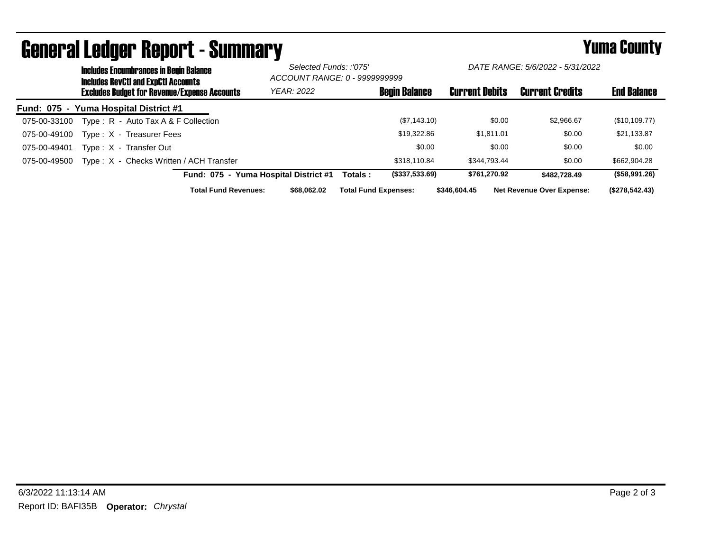|              | <b>Includes Encumbrances in Begin Balance</b><br><b>Includes RevCtI and ExpCtI Accounts</b><br><b>Excludes Budget for Revenue/Expense Accounts</b> |                                         |                                       | Selected Funds: :'075'<br>ACCOUNT RANGE: 0 - 9999999999 |                      | DATE RANGE: 5/6/2022 - 5/31/2022 |                                  |                    |  |
|--------------|----------------------------------------------------------------------------------------------------------------------------------------------------|-----------------------------------------|---------------------------------------|---------------------------------------------------------|----------------------|----------------------------------|----------------------------------|--------------------|--|
|              |                                                                                                                                                    |                                         | <b>YEAR: 2022</b>                     |                                                         | <b>Begin Balance</b> | <b>Current Debits</b>            | <b>Current Credits</b>           | <b>End Balance</b> |  |
|              |                                                                                                                                                    | Fund: 075 - Yuma Hospital District #1   |                                       |                                                         |                      |                                  |                                  |                    |  |
| 075-00-33100 |                                                                                                                                                    | Type: R - Auto Tax A & F Collection     |                                       |                                                         | (\$7,143.10)         | \$0.00                           | \$2,966.67                       | (\$10,109.77)      |  |
| 075-00-49100 |                                                                                                                                                    | Type: X - Treasurer Fees                |                                       |                                                         | \$19,322.86          | \$1.811.01                       | \$0.00                           | \$21,133.87        |  |
| 075-00-49401 |                                                                                                                                                    | Type: X - Transfer Out                  |                                       |                                                         | \$0.00               | \$0.00                           | \$0.00                           | \$0.00             |  |
| 075-00-49500 |                                                                                                                                                    | Type: X - Checks Written / ACH Transfer |                                       |                                                         | \$318.110.84         | \$344.793.44                     | \$0.00                           | \$662,904.28       |  |
|              |                                                                                                                                                    |                                         | Fund: 075 - Yuma Hospital District #1 | Totals :                                                | (\$337,533.69)       | \$761,270.92                     | \$482,728.49                     | (\$58,991.26)      |  |
|              |                                                                                                                                                    | <b>Total Fund Revenues:</b>             | \$68,062.02                           | <b>Total Fund Expenses:</b>                             |                      | \$346,604.45                     | <b>Net Revenue Over Expense:</b> | (\$278,542.43)     |  |

## General Ledger Report - Summary **Example 2018** Yuma County